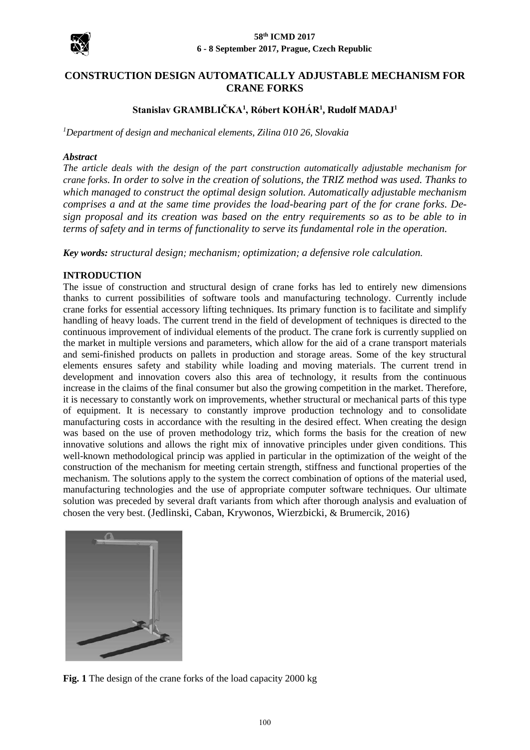

# **CONSTRUCTION DESIGN AUTOMATICALLY ADJUSTABLE MECHANISM FOR CRANE FORKS**

## **Stanislav GRAMBLIČKA<sup>1</sup> , Róbert KOHÁR<sup>1</sup> , Rudolf MADAJ<sup>1</sup>**

*<sup>1</sup>Department of design and mechanical elements, Zilina 010 26, Slovakia*

#### *Abstract*

*The article deals with the design of the part construction automatically adjustable mechanism for crane forks. In order to solve in the creation of solutions, the TRIZ method was used. Thanks to which managed to construct the optimal design solution. Automatically adjustable mechanism comprises a and at the same time provides the load-bearing part of the for crane forks. Design proposal and its creation was based on the entry requirements so as to be able to in terms of safety and in terms of functionality to serve its fundamental role in the operation.*

*Key words: structural design; mechanism; optimization; a defensive role calculation.*

### **INTRODUCTION**

The issue of construction and structural design of crane forks has led to entirely new dimensions thanks to current possibilities of software tools and manufacturing technology. Currently include crane forks for essential accessory lifting techniques. Its primary function is to facilitate and simplify handling of heavy loads. The current trend in the field of development of techniques is directed to the continuous improvement of individual elements of the product. The crane fork is currently supplied on the market in multiple versions and parameters, which allow for the aid of a crane transport materials and semi-finished products on pallets in production and storage areas. Some of the key structural elements ensures safety and stability while loading and moving materials. The current trend in development and innovation covers also this area of technology, it results from the continuous increase in the claims of the final consumer but also the growing competition in the market. Therefore, it is necessary to constantly work on improvements, whether structural or mechanical parts of this type of equipment. It is necessary to constantly improve production technology and to consolidate manufacturing costs in accordance with the resulting in the desired effect. When creating the design was based on the use of proven methodology triz, which forms the basis for the creation of new innovative solutions and allows the right mix of innovative principles under given conditions. This well-known methodological princip was applied in particular in the optimization of the weight of the construction of the mechanism for meeting certain strength, stiffness and functional properties of the mechanism. The solutions apply to the system the correct combination of options of the material used, manufacturing technologies and the use of appropriate computer software techniques. Our ultimate solution was preceded by several draft variants from which after thorough analysis and evaluation of chosen the very best. (Jedlinski, Caban, Krywonos, Wierzbicki, & Brumercik, 2016)



**Fig. 1** The design of the crane forks of the load capacity 2000 kg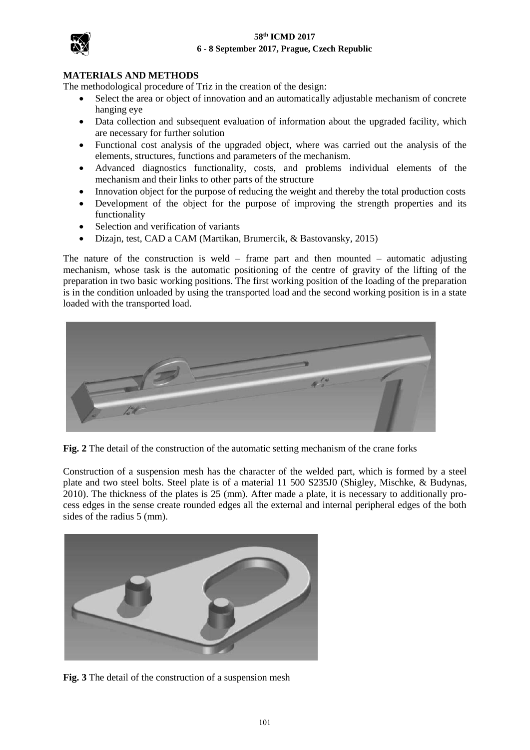## **58th ICMD 2017 6 - 8 September 2017, Prague, Czech Republic**



## **MATERIALS AND METHODS**

The methodological procedure of Triz in the creation of the design:

- Select the area or object of innovation and an automatically adjustable mechanism of concrete hanging eye
- Data collection and subsequent evaluation of information about the upgraded facility, which are necessary for further solution
- Functional cost analysis of the upgraded object, where was carried out the analysis of the elements, structures, functions and parameters of the mechanism.
- Advanced diagnostics functionality, costs, and problems individual elements of the mechanism and their links to other parts of the structure
- Innovation object for the purpose of reducing the weight and thereby the total production costs
- Development of the object for the purpose of improving the strength properties and its functionality
- Selection and verification of variants
- Dizajn, test, CAD a CAM (Martikan, Brumercik, & Bastovansky, 2015)

The nature of the construction is weld – frame part and then mounted – automatic adjusting mechanism, whose task is the automatic positioning of the centre of gravity of the lifting of the preparation in two basic working positions. The first working position of the loading of the preparation is in the condition unloaded by using the transported load and the second working position is in a state loaded with the transported load.



**Fig. 2** The detail of the construction of the automatic setting mechanism of the crane forks

Construction of a suspension mesh has the character of the welded part, which is formed by a steel plate and two steel bolts. Steel plate is of a material 11 500 S235J0 (Shigley, Mischke, & Budynas, 2010). The thickness of the plates is 25 (mm). After made a plate, it is necessary to additionally process edges in the sense create rounded edges all the external and internal peripheral edges of the both sides of the radius 5 (mm).



**Fig. 3** The detail of the construction of a suspension mesh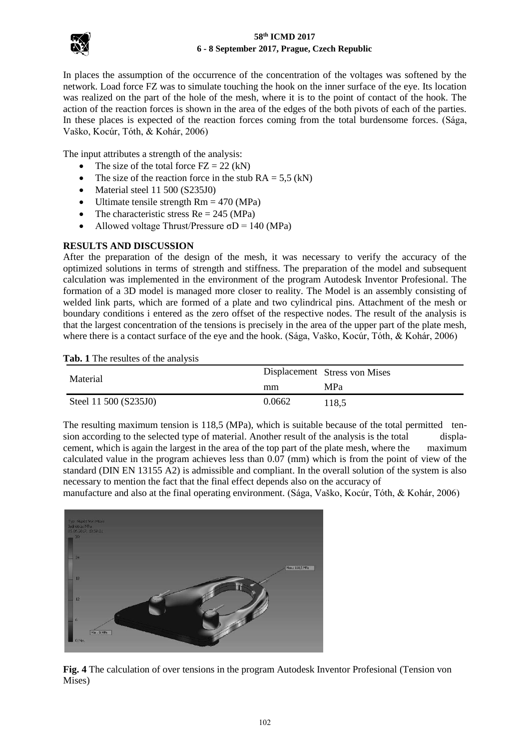

### **58th ICMD 2017 6 - 8 September 2017, Prague, Czech Republic**

In places the assumption of the occurrence of the concentration of the voltages was softened by the network. Load force FZ was to simulate touching the hook on the inner surface of the eye. Its location was realized on the part of the hole of the mesh, where it is to the point of contact of the hook. The action of the reaction forces is shown in the area of the edges of the both pivots of each of the parties. In these places is expected of the reaction forces coming from the total burdensome forces. (Sága, Vaško, Kocúr, Tóth, & Kohár, 2006)

The input attributes a strength of the analysis:

- The size of the total force  $FZ = 22$  (kN)
- The size of the reaction force in the stub  $RA = 5.5$  (kN)
- Material steel 11 500 (S235J0)
- Ultimate tensile strength  $Rm = 470$  (MPa)
- The characteristic stress  $Re = 245$  (MPa)
- Allowed voltage Thrust/Pressure  $\sigma$ D = 140 (MPa)

## **RESULTS AND DISCUSSION**

After the preparation of the design of the mesh, it was necessary to verify the accuracy of the optimized solutions in terms of strength and stiffness. The preparation of the model and subsequent calculation was implemented in the environment of the program Autodesk Inventor Profesional. The formation of a 3D model is managed more closer to reality. The Model is an assembly consisting of welded link parts, which are formed of a plate and two cylindrical pins. Attachment of the mesh or boundary conditions i entered as the zero offset of the respective nodes. The result of the analysis is that the largest concentration of the tensions is precisely in the area of the upper part of the plate mesh, where there is a contact surface of the eye and the hook. (Sága, Vaško, Kocúr, Tóth, & Kohár, 2006)

**Tab. 1** The resultes of the analysis

| Material              |        | Displacement Stress von Mises |
|-----------------------|--------|-------------------------------|
|                       | mm     | MPa                           |
| Steel 11 500 (S235J0) | 0.0662 | 118.5                         |

The resulting maximum tension is 118,5 (MPa), which is suitable because of the total permitted tension according to the selected type of material. Another result of the analysis is the total displacement, which is again the largest in the area of the top part of the plate mesh, where the maximum calculated value in the program achieves less than 0.07 (mm) which is from the point of view of the standard (DIN EN 13155 A2) is admissible and compliant. In the overall solution of the system is also necessary to mention the fact that the final effect depends also on the accuracy of

manufacture and also at the final operating environment. (Sága, Vaško, Kocúr, Tóth, & Kohár, 2006)



**Fig. 4** The calculation of over tensions in the program Autodesk Inventor Profesional (Tension von Mises)